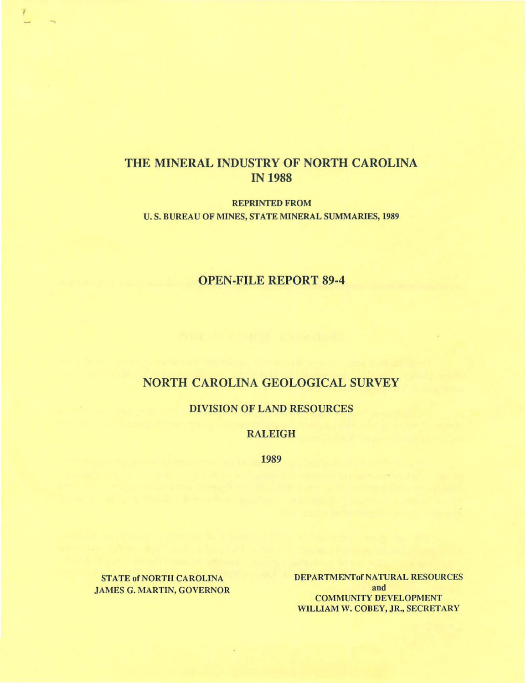## THE MINERAL INDUSTRY OF NORTH CAROLINA IN 1988

REPRINTED FROM U. S. BUREAU OF MINES, STATE MINERAL SUMMARIES, 1989

## OPEN-FILE REPORT 89-4

## NORTH CAROLINA GEOLOGICAL SURVEY

#### DIVISION OF LAND RESOURCES

#### RALEIGH

1989

STATE of NORTH CAROLlNA JAMES G. MARTlN, GOVERNOR

I

.,

DEPARTMENTof NATURAL RESOURCES and COMMUNITY DEVELOPMENT WILLlAM W. COBEY, JR., SECRETARY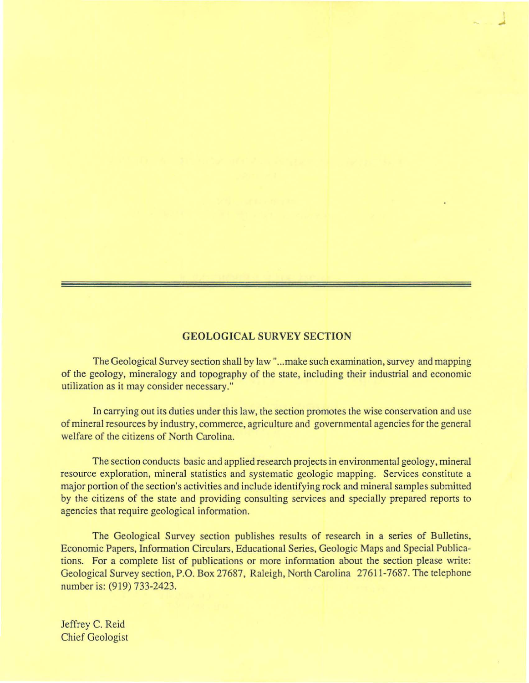### **GEOLOGICAL SURVEY SECTION**

The Geological Survey section shall by law"...make such examination, survey and mapping of the geology, mineralogy and topography of the state, including their industrial and economic utilization as it may consider necessary."

In carrying out its duties under this law, the section promotes the wise conservation and use of mineral resources by industry, commerce, agriculture and governmental agencies for the general welfare of the citizens of North Carolina.

The section conducts basic and applied research projects in environmental geology, mineral resource exploration, mineral statistics and systematic geologic mapping. Services constitute a major portion of the section's activities and include identifying rock and mineral samples submitted by the citizens of the state and providing consulting services and specially prepared reports to agencies that require geological information.

The Geological Survey section publishes results of research in a series of Bulletins, Economic Papers, lnfonnation Circulars, Educational Series, Geologic Maps and Special Publications. For a complete list of publications or more infonnation about the section please write: Geological Survey section, P.O. Box 27687, Raleigh, North Carolina 27611-7687. The telephone number is: (919) 733-2423.

Jeffrey C. Reid Chief Geologist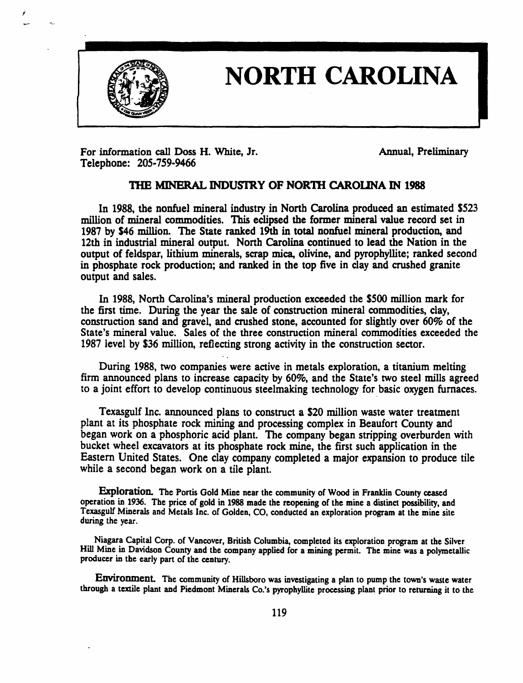

;

# NORTH CAROLINA

For information call Doss H. White, Jr. Annual, Preliminary Telephone: 205-759-9466

#### 1HB MINERAL INDUSTRY OF NOR1H CAROIJNA IN 1988

In 1988, the nonfuel mineral industry in North Carolina produced an estimated 5523 million of mineral commodities. This eclipsed the former mineral value record set in 1987 by \$46 million. The State ranked 19th in total nonfuel mineral production, and 12th in industrial mineral output. North Carolina continued to lead the Nation in the output of feldspar, lithium minerals, scrap mica, olivine, and pyrophyllite; ranked second in phosphate rock production; and ranked in the top five in clay and crushed granite output and sales.

In 1988, North Carolina's mineral production exceeded the 5500 million mark for the first time. During the year the sale of construction mineral commodities, clay, construction sand and gravel, and crushed stone, accounted for slightly over 60% of the State's mineral value. Sales of the three construction mineral commodities exceeded the 1987 level by 536 million, reflecting strong activity in the construction sector.

During 1988, two companies were active in metals exploration. a titanium melting firm announced plans to increase capacity by 60%, and the State's two steel mills agreed to a joint effort to develop continuous steelmaking technology for basic oxygen furnaces.

Texasgulf Inc. announced plans to construct a 520 million waste water treatment plant at its phosphate rock mining and processing complex in Beaufort County and began work on a phosphoric acid plant. The company began stripping overburden with bucket wheel excavators at its phosphate rock mine, the first such application in the Eastern United States. One clay company completed a major expansion to produce tile while a second began work on a tile plant.

Exploration. The Portis Gold Mine near the community of Wood in Franklin County ceased operation in 1936. The pricc of gold in 1988 made the reopening of the mine a distinct possibility, and Texasgulf Minerals and Metals Inc. of Golden, CO, conducted an exploration program at the mine site during the year.

Niagara Capital Corp. of Vancover, British Columbia, completed its exploration program at the Silver Hill Mine in Davidson County and the company applied for a mining permit. The mine was a polymetallic producer in the early part of the century.

Environment. The community of Hillsboro was investigating a plan to pump the town's waste water through a textile plant and Piedmont Minerals Co.'s pyrophyllite processing plant prior to returning it to the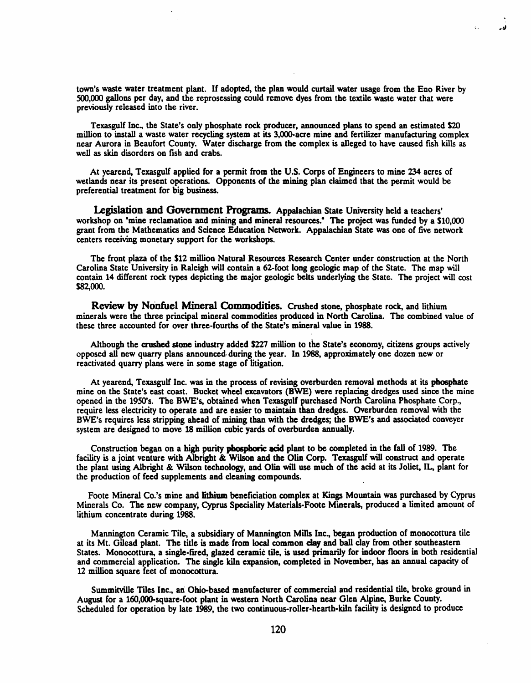town's waste water treatment plant. If adopted, the plan would curtail water usage from the Eno River by 500,000 gallons per day, and the reprosessing could remove dyes from the textile waste water that were previously released into the river.

ہ ۔

Texasgulf Inc., the State's only phosphate rock producer, announced plans to spend an estimated S20 million to install a waste water recycling system at its 3,OOO-acre mine and fertilizer manufacturing complex near Aurora in Beaufort County. Water discharge from the complex is alleged to have caused fish kills as well as skin disorders on fish and crabs.

At yearend, Texasgulf applied for a permit from the U.S. Corps of Engineers to mine 234 acres of wetlands near its present operations. Opponents of the mining plan claimed that the permit would be preferential treatment for big business.

Legislation and Government Programs. Appalachian State University held a teachers' workshop on "mine reclamation and mining and mineral resources." The project was funded by a \$10,000 grant from the Mathematics and Science Education Network. Appalachian State was one of five network centers receiving monetary support for the workshops.

The front plaza of the \$12 million Natural Resources Research Center under construction at the North Carolina State University in Raleigh will contain a 62-foot long geologic map of the State. The map will contain 14 different rock types depicting the major geologic belts underlying the State. The project will cost \$82,000.

Review by Nonfuel Mineral Commodities. Crushed stone, phosphate rock, and lithium minerals were the three principal mineral commodities produced in North Carolina. The combined value of these three accounted for over three-fourths of the State's mineral value in 1988.

Although the crushed stone industry added \$227 million to the State's economy, citizens groups actively opposed all new quarry plans announced· during tbe year. In 1988, approximately one dozen new or reactivated quarry plans were in some stage of litigation.

At yearend, Texasgulf Inc. was in the process of revising overburden removal methods at its phosphate mine on the State's east coast. Bucket wheel excavators (BWE) were replacing dredges used since the mine opened in the 1950's. The BWE's, obtained when Texasgulf purchased North Carolina Phosphate Corp., require less electricity to operate and arc easier to maintain than dredges. Overburden removal with the BWE's requires less stripping ahead of mining tban with the dredgcs; the BWE's and associated conveyer system are designed to move 18 million cubic yards of overburden annually.

Construction began on a high purity phosphoric acid plant to be completed in tbe fall of 1989. The facility is a joint venture with Albright & Wilson and the Olin Corp. Texasgulf will construct and operate the plant using Albright &. Wilson technology, and Olin will use much of the acid at its Joliet, IL, plant for the production of feed supplements and cleaning compounds.

Foote Mineral Co.'s mine and lithium beneficiation complex at Kings Mountain was purchased by Cyprus Minerals Co. The new company, Cyprus Speciality Materials-Foote Minerals, produced a limited amount of lithium concentrate during 1988.

Mannington Ceramic Tile, a subsidiary of Mannington Mills Inc., began production of monocottura tile at its Mt. Gilead plant. The title is made from local common day and ball clay from other southeastern States. Monocottura, a single-fired, glazed ceramic tile, is used primarily for indoor floors in both residential and commercial application. The single kiln expansion, completed in November, has an annual capacity of 12 million square feet of monocottura.

Summitville Tiles Inc., an Ohio-based manufacturer of commercial and residential tile, broke ground in August for a 160,OOO-square-foot plant in western North Carolina near Glen Alpine, Burke County. Scheduled for operation by late 1989, the two continuous-roller-hearth-kiln facility is designed to produce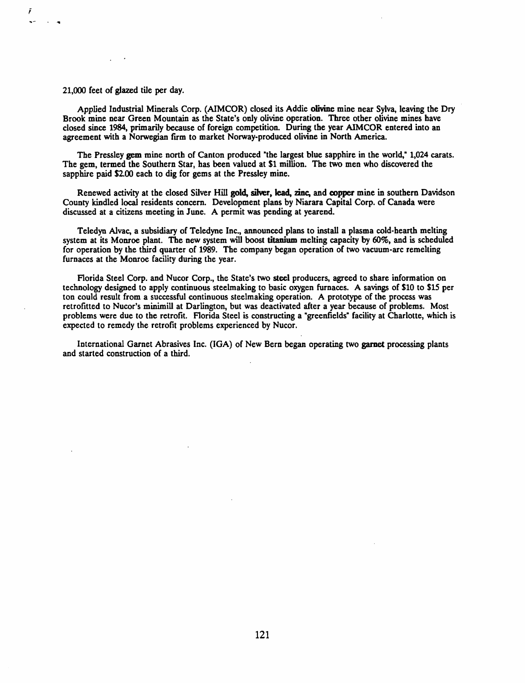#### 21,000 feet of glazed tile per day.

Applied Industrial Minerals Corp. (AIMCOR) closed its Addie olivine mine near Sylva, leaving the Dry Brook mine near Green Mountain as the State's only olivine operation. Three other olivine mines have closed since 1984, primarily because of foreign competition. During the year AIMCOR entered into an agreement with a Norwegian firm to market Norway-produced olivine in North America.

The Pressley gem mine north of Canton produced "the largest blue sapphire in the world," 1,024 carats. The gem, termed the Southern Star, has been valued at \$1 million. The two men who discovered the sapphire paid \$2.00 each to dig for gems at the Pressley mine.

Renewed activity at the closed Silver Hill gold, silver, lead, zinc, and copper mine in southern Davidson County kindled local residents concern. Development plans by Niarara Capital Corp. of Canada were discussed at a citizens meeting in June. A permit was pending at yearend.

Teledyn Alvac, a subsidiary of Teledyne Inc., announced plans to install a plasma cold-hearth melting system at its Monroe plant. The new system will boost titanium melting capacity by 60%, and is scheduled for operation by the third quarter of 1989. The company began operation of two vacuum-arc remelting furnaces at the Monroe facility during the year.

Florida Steel Corp. and Nucor Corp., the State's two steel producers, agreed to share information on technology designed to apply continuous steelmaking to basic oxygen furnaces. A savings of \$10 to \$15 per ton could result from a successful continuous steelmaking operation. A prototype of the process was retrofitted to Nucor's minimill at Darlington, but was deactivated after a year because of problems. Most problems were due to the retrofit. Florida Steel is constructing a "greenfields" facility at Charlotte, which is expected to remedy the retrofit problems experienced by Nucor.

International Garnet Abrasives Inc. (IGA) of New Bern began operating two garnet processing plants and started construction of a third.